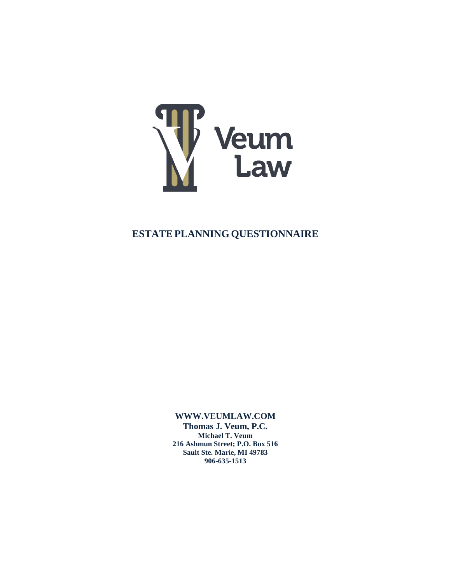

# **ESTATEPLANNING QUESTIONNAIRE**

**[WWW.VEUMLAW.COM](http://www.veumlaw.com/)**

**Thomas J. Veum, P.C. Michael T. Veum 216 Ashmun Street; P.O. Box 516 Sault Ste. Marie, MI 49783 906-635-1513**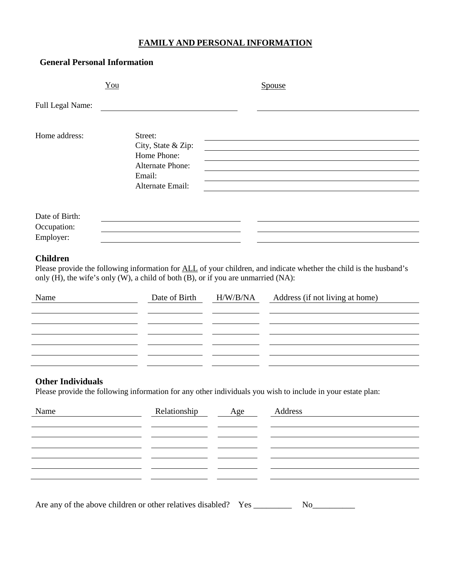#### **FAMILY AND PERSONAL INFORMATION**

#### **General Personal Information**

|                               | You                                                                     | Spouse |
|-------------------------------|-------------------------------------------------------------------------|--------|
| Full Legal Name:              |                                                                         |        |
| Home address:                 | Street:<br>City, State & Zip:<br>Home Phone:<br><b>Alternate Phone:</b> |        |
|                               | Email:<br>Alternate Email:                                              |        |
|                               |                                                                         |        |
| Date of Birth:<br>Occupation: |                                                                         |        |
| Employer:                     |                                                                         |        |

#### **Children**

Please provide the following information for ALL of your children, and indicate whether the child is the husband's only (H), the wife's only (W), a child of both (B), or if you are unmarried (NA):

| Name |  | Date of Birth H/W/B/NA Address (if not living at home) |
|------|--|--------------------------------------------------------|
|      |  |                                                        |
|      |  |                                                        |
|      |  |                                                        |
|      |  |                                                        |
|      |  |                                                        |

#### **Other Individuals**

Please provide the following information for any other individuals you wish to include in your estate plan:

| Name | Relationship Age | Address |
|------|------------------|---------|
|      |                  |         |
|      |                  |         |
|      |                  |         |
|      |                  |         |
|      |                  |         |
|      |                  |         |

Are any of the above children or other relatives disabled? Yes \_\_\_\_\_\_\_\_\_ No\_\_\_\_\_\_\_\_\_\_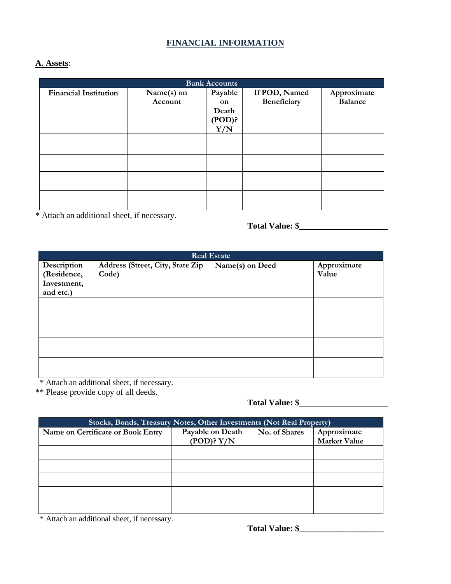### **FINANCIAL INFORMATION**

#### **A. Assets**:

| <b>Bank Accounts</b>         |            |           |               |                |
|------------------------------|------------|-----------|---------------|----------------|
| <b>Financial Institution</b> | Name(s) on | Payable   | If POD, Named | Approximate    |
|                              | Account    | on        | Beneficiary   | <b>Balance</b> |
|                              |            | Death     |               |                |
|                              |            | $(POD)$ ? |               |                |
|                              |            | Y/N       |               |                |
|                              |            |           |               |                |
|                              |            |           |               |                |
|                              |            |           |               |                |
|                              |            |           |               |                |
|                              |            |           |               |                |
|                              |            |           |               |                |
|                              |            |           |               |                |
|                              |            |           |               |                |

\* Attach an additional sheet, if necessary.

**Total Value: \$\_\_\_\_\_\_\_\_\_\_\_\_\_\_\_\_\_\_\_\_\_**

| <b>Real Estate</b> |                                         |                 |             |  |
|--------------------|-----------------------------------------|-----------------|-------------|--|
| Description        | <b>Address (Street, City, State Zip</b> | Name(s) on Deed | Approximate |  |
| (Residence,        | Code)                                   |                 | Value       |  |
| Investment,        |                                         |                 |             |  |
| and etc.)          |                                         |                 |             |  |
|                    |                                         |                 |             |  |
|                    |                                         |                 |             |  |
|                    |                                         |                 |             |  |
|                    |                                         |                 |             |  |
|                    |                                         |                 |             |  |
|                    |                                         |                 |             |  |
|                    |                                         |                 |             |  |
|                    |                                         |                 |             |  |

\* Attach an additional sheet, if necessary.

\*\* Please provide copy of all deeds.

## **Total Value: \$\_\_\_\_\_\_\_\_\_\_\_\_\_\_\_\_\_\_\_\_\_**

| Stocks, Bonds, Treasury Notes, Other Investments (Not Real Property) |                  |               |                     |  |
|----------------------------------------------------------------------|------------------|---------------|---------------------|--|
| Name on Certificate or Book Entry                                    | Payable on Death | No. of Shares | Approximate         |  |
|                                                                      | $(POD)$ ? $Y/N$  |               | <b>Market Value</b> |  |
|                                                                      |                  |               |                     |  |
|                                                                      |                  |               |                     |  |
|                                                                      |                  |               |                     |  |
|                                                                      |                  |               |                     |  |
|                                                                      |                  |               |                     |  |

\* Attach an additional sheet, if necessary.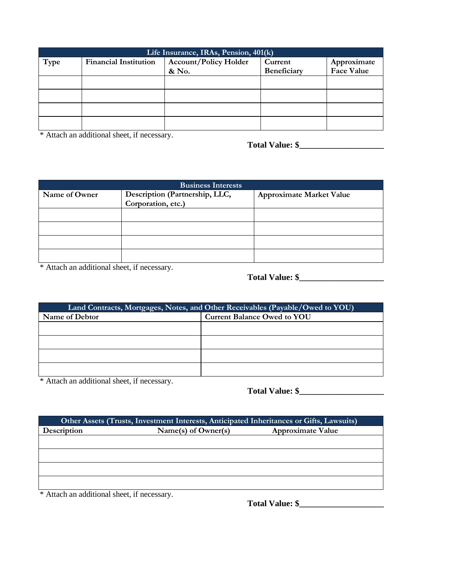| Life Insurance, IRAs, Pension, 401(k)                              |                                                                                        |       |             |                   |  |  |  |  |
|--------------------------------------------------------------------|----------------------------------------------------------------------------------------|-------|-------------|-------------------|--|--|--|--|
| Type                                                               | <b>Financial Institution</b><br>Current<br>Approximate<br><b>Account/Policy Holder</b> |       |             |                   |  |  |  |  |
|                                                                    |                                                                                        | & No. | Beneficiary | <b>Face Value</b> |  |  |  |  |
|                                                                    |                                                                                        |       |             |                   |  |  |  |  |
|                                                                    |                                                                                        |       |             |                   |  |  |  |  |
|                                                                    |                                                                                        |       |             |                   |  |  |  |  |
|                                                                    |                                                                                        |       |             |                   |  |  |  |  |
| * Attach an additional sheet, if necessary.<br>$T = 1$ $T = 1$ $A$ |                                                                                        |       |             |                   |  |  |  |  |

**Total Value: \$\_\_\_\_\_\_\_\_\_\_\_\_\_\_\_\_\_\_\_\_**

| <b>Business Interests</b> |                                                      |                                 |  |
|---------------------------|------------------------------------------------------|---------------------------------|--|
| Name of Owner             | Description (Partnership, LLC,<br>Corporation, etc.) | <b>Approximate Market Value</b> |  |
|                           |                                                      |                                 |  |
|                           |                                                      |                                 |  |
|                           |                                                      |                                 |  |
|                           |                                                      |                                 |  |
|                           |                                                      |                                 |  |

 $\frac{1}{1}$  \* Attach an additional sheet, if necessary.

**Total Value: \$\_\_\_\_\_\_\_\_\_\_\_\_\_\_\_\_\_\_\_\_**

| Land Contracts, Mortgages, Notes, and Other Receivables (Payable/Owed to YOU) |  |  |  |  |
|-------------------------------------------------------------------------------|--|--|--|--|
| <b>Current Balance Owed to YOU</b><br>Name of Debtor                          |  |  |  |  |
|                                                                               |  |  |  |  |
|                                                                               |  |  |  |  |
|                                                                               |  |  |  |  |
|                                                                               |  |  |  |  |

\* Attach an additional sheet, if necessary.

**Total Value: \$\_\_\_\_\_\_\_\_\_\_\_\_\_\_\_\_\_\_\_\_**

| Other Assets (Trusts, Investment Interests, Anticipated Inheritances or Gifts, Lawsuits) |                     |                          |  |
|------------------------------------------------------------------------------------------|---------------------|--------------------------|--|
| Description                                                                              | Name(s) of Owner(s) | <b>Approximate Value</b> |  |
|                                                                                          |                     |                          |  |
|                                                                                          |                     |                          |  |
|                                                                                          |                     |                          |  |
|                                                                                          |                     |                          |  |

\* Attach an additional sheet, if necessary.

**Total Value: \$\_\_\_\_\_\_\_\_\_\_\_\_\_\_\_\_\_\_\_\_**